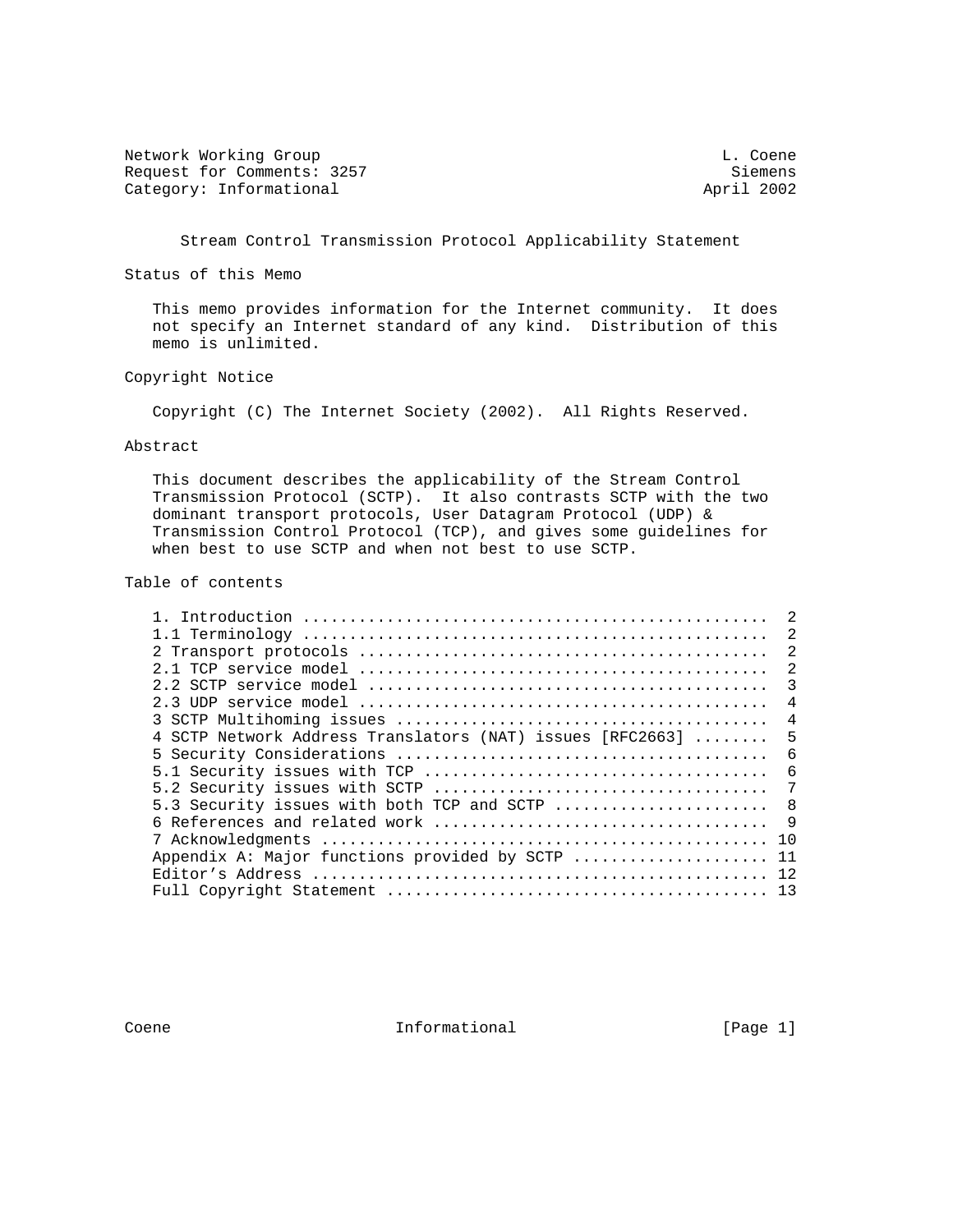Network Working Group and the coene of the coene of the coene of the coene of the coene of the coene of the coene Request for Comments: 3257 Siemens<br>
Category: Informational and Seminary Siemens (Seminary Siemens April 2002 Category: Informational

Stream Control Transmission Protocol Applicability Statement

Status of this Memo

 This memo provides information for the Internet community. It does not specify an Internet standard of any kind. Distribution of this memo is unlimited.

# Copyright Notice

Copyright (C) The Internet Society (2002). All Rights Reserved.

## Abstract

 This document describes the applicability of the Stream Control Transmission Protocol (SCTP). It also contrasts SCTP with the two dominant transport protocols, User Datagram Protocol (UDP) & Transmission Control Protocol (TCP), and gives some guidelines for when best to use SCTP and when not best to use SCTP.

#### Table of contents

|                                                           | $\mathfrak{D}$ |
|-----------------------------------------------------------|----------------|
|                                                           | 2              |
|                                                           | 2              |
|                                                           | 2              |
|                                                           | 3              |
|                                                           | 4              |
|                                                           | $\overline{4}$ |
| 4 SCTP Network Address Translators (NAT) issues [RFC2663] | 5              |
|                                                           | 6              |
|                                                           | 6              |
|                                                           | 7              |
| 5.3 Security issues with both TCP and SCTP                | 8              |
|                                                           | - 9            |
|                                                           | 1 O            |
| Appendix A: Major functions provided by SCTP              | 11             |
|                                                           |                |
|                                                           |                |

Coene 11 Coene Informational [Page 1]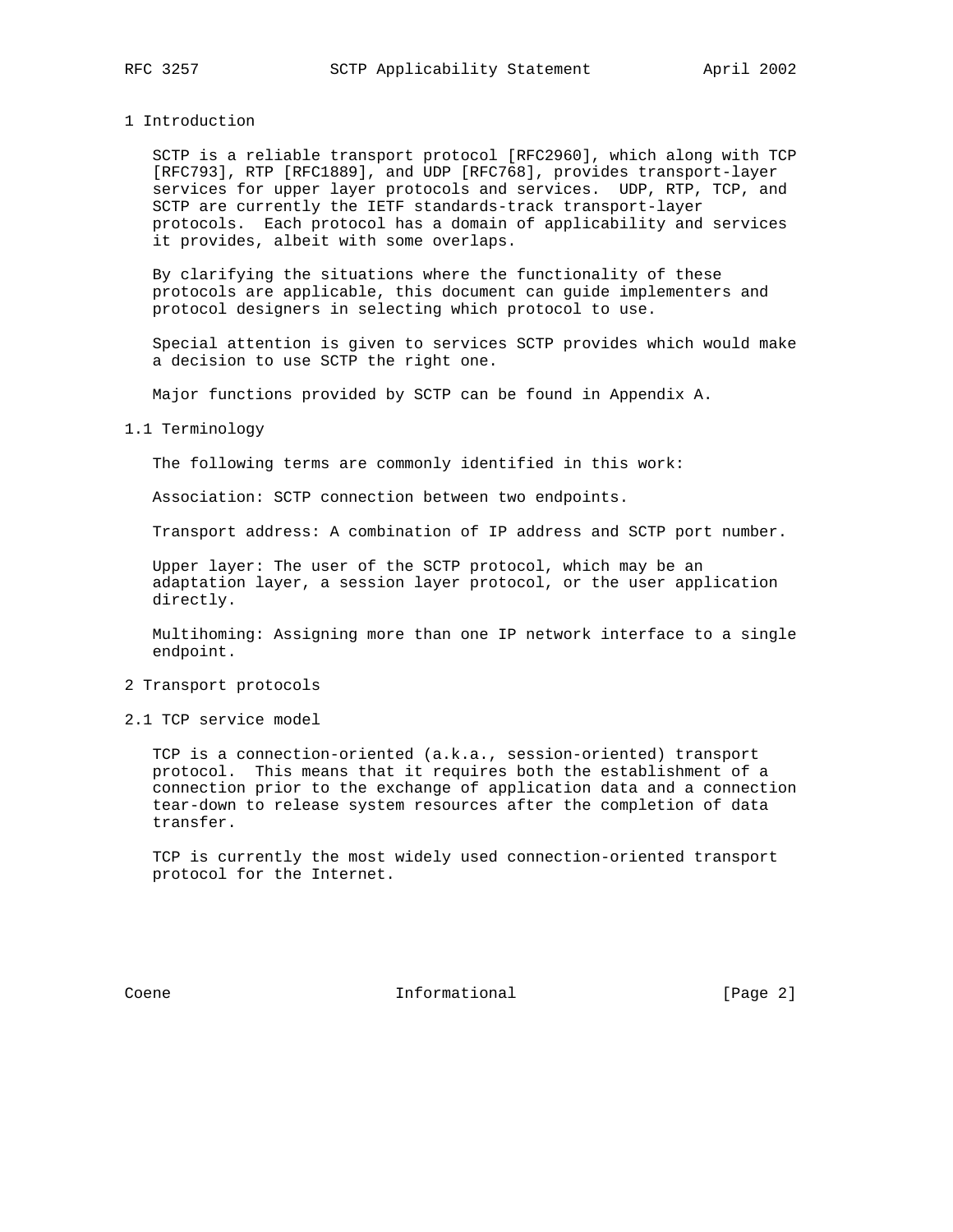#### 1 Introduction

 SCTP is a reliable transport protocol [RFC2960], which along with TCP [RFC793], RTP [RFC1889], and UDP [RFC768], provides transport-layer services for upper layer protocols and services. UDP, RTP, TCP, and SCTP are currently the IETF standards-track transport-layer protocols. Each protocol has a domain of applicability and services it provides, albeit with some overlaps.

 By clarifying the situations where the functionality of these protocols are applicable, this document can guide implementers and protocol designers in selecting which protocol to use.

 Special attention is given to services SCTP provides which would make a decision to use SCTP the right one.

Major functions provided by SCTP can be found in Appendix A.

#### 1.1 Terminology

The following terms are commonly identified in this work:

Association: SCTP connection between two endpoints.

Transport address: A combination of IP address and SCTP port number.

 Upper layer: The user of the SCTP protocol, which may be an adaptation layer, a session layer protocol, or the user application directly.

 Multihoming: Assigning more than one IP network interface to a single endpoint.

# 2 Transport protocols

2.1 TCP service model

 TCP is a connection-oriented (a.k.a., session-oriented) transport protocol. This means that it requires both the establishment of a connection prior to the exchange of application data and a connection tear-down to release system resources after the completion of data transfer.

 TCP is currently the most widely used connection-oriented transport protocol for the Internet.

Coene 111 Informational 1999 [Page 2]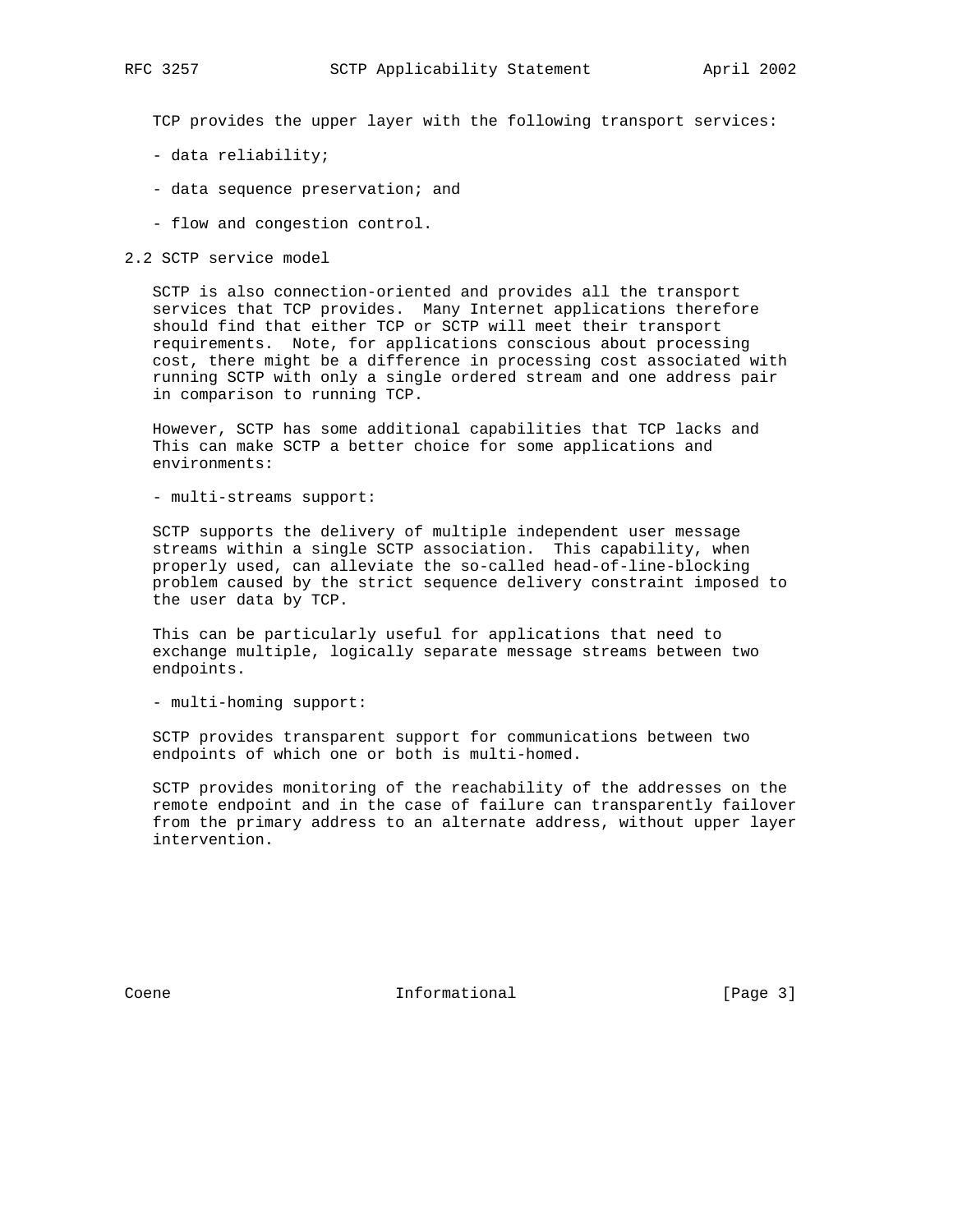TCP provides the upper layer with the following transport services:

- data reliability;
- data sequence preservation; and
- flow and congestion control.

#### 2.2 SCTP service model

 SCTP is also connection-oriented and provides all the transport services that TCP provides. Many Internet applications therefore should find that either TCP or SCTP will meet their transport requirements. Note, for applications conscious about processing cost, there might be a difference in processing cost associated with running SCTP with only a single ordered stream and one address pair in comparison to running TCP.

 However, SCTP has some additional capabilities that TCP lacks and This can make SCTP a better choice for some applications and environments:

- multi-streams support:

 SCTP supports the delivery of multiple independent user message streams within a single SCTP association. This capability, when properly used, can alleviate the so-called head-of-line-blocking problem caused by the strict sequence delivery constraint imposed to the user data by TCP.

 This can be particularly useful for applications that need to exchange multiple, logically separate message streams between two endpoints.

- multi-homing support:

 SCTP provides transparent support for communications between two endpoints of which one or both is multi-homed.

 SCTP provides monitoring of the reachability of the addresses on the remote endpoint and in the case of failure can transparently failover from the primary address to an alternate address, without upper layer intervention.

Coene 1111 Coene Informational [Page 3]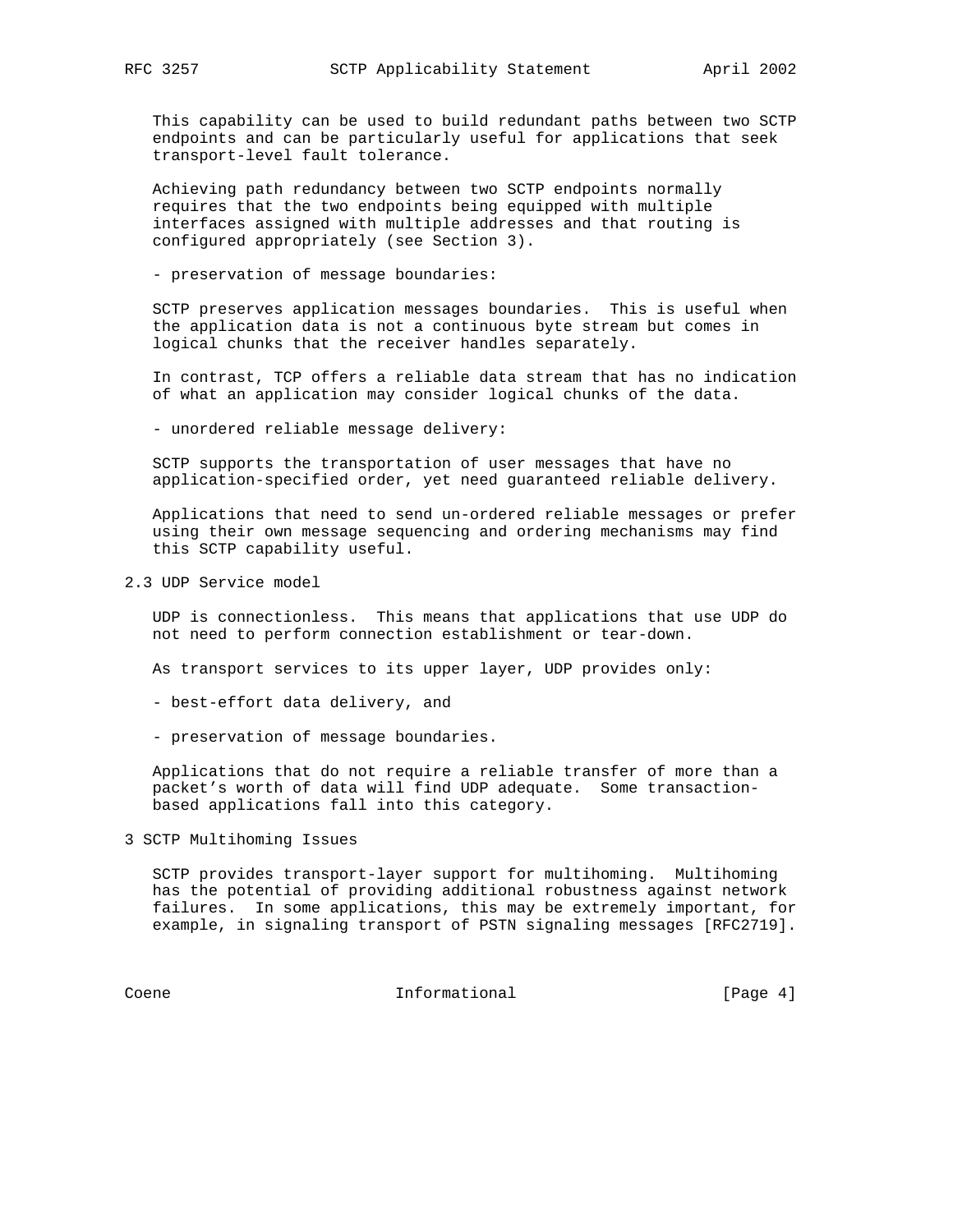This capability can be used to build redundant paths between two SCTP endpoints and can be particularly useful for applications that seek transport-level fault tolerance.

 Achieving path redundancy between two SCTP endpoints normally requires that the two endpoints being equipped with multiple interfaces assigned with multiple addresses and that routing is configured appropriately (see Section 3).

- preservation of message boundaries:

 SCTP preserves application messages boundaries. This is useful when the application data is not a continuous byte stream but comes in logical chunks that the receiver handles separately.

 In contrast, TCP offers a reliable data stream that has no indication of what an application may consider logical chunks of the data.

- unordered reliable message delivery:

 SCTP supports the transportation of user messages that have no application-specified order, yet need guaranteed reliable delivery.

 Applications that need to send un-ordered reliable messages or prefer using their own message sequencing and ordering mechanisms may find this SCTP capability useful.

2.3 UDP Service model

 UDP is connectionless. This means that applications that use UDP do not need to perform connection establishment or tear-down.

As transport services to its upper layer, UDP provides only:

- best-effort data delivery, and
- preservation of message boundaries.

 Applications that do not require a reliable transfer of more than a packet's worth of data will find UDP adequate. Some transaction based applications fall into this category.

3 SCTP Multihoming Issues

 SCTP provides transport-layer support for multihoming. Multihoming has the potential of providing additional robustness against network failures. In some applications, this may be extremely important, for example, in signaling transport of PSTN signaling messages [RFC2719].

Coene 1111 Informational 1999 [Page 4]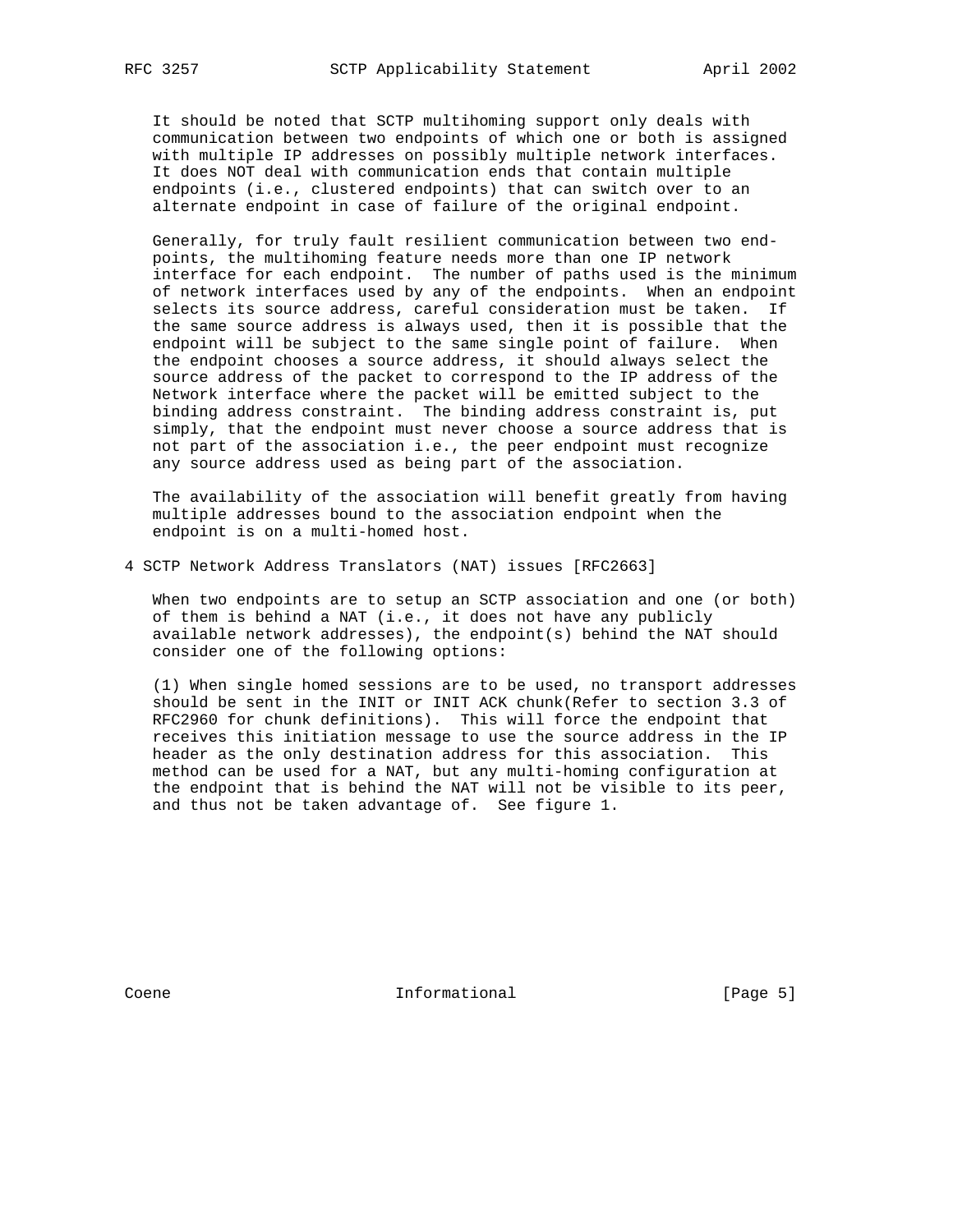It should be noted that SCTP multihoming support only deals with communication between two endpoints of which one or both is assigned with multiple IP addresses on possibly multiple network interfaces. It does NOT deal with communication ends that contain multiple endpoints (i.e., clustered endpoints) that can switch over to an alternate endpoint in case of failure of the original endpoint.

 Generally, for truly fault resilient communication between two end points, the multihoming feature needs more than one IP network interface for each endpoint. The number of paths used is the minimum of network interfaces used by any of the endpoints. When an endpoint selects its source address, careful consideration must be taken. If the same source address is always used, then it is possible that the endpoint will be subject to the same single point of failure. When the endpoint chooses a source address, it should always select the source address of the packet to correspond to the IP address of the Network interface where the packet will be emitted subject to the binding address constraint. The binding address constraint is, put simply, that the endpoint must never choose a source address that is not part of the association i.e., the peer endpoint must recognize any source address used as being part of the association.

 The availability of the association will benefit greatly from having multiple addresses bound to the association endpoint when the endpoint is on a multi-homed host.

4 SCTP Network Address Translators (NAT) issues [RFC2663]

 When two endpoints are to setup an SCTP association and one (or both) of them is behind a NAT (i.e., it does not have any publicly available network addresses), the endpoint(s) behind the NAT should consider one of the following options:

 (1) When single homed sessions are to be used, no transport addresses should be sent in the INIT or INIT ACK chunk(Refer to section 3.3 of RFC2960 for chunk definitions). This will force the endpoint that receives this initiation message to use the source address in the IP header as the only destination address for this association. This method can be used for a NAT, but any multi-homing configuration at the endpoint that is behind the NAT will not be visible to its peer, and thus not be taken advantage of. See figure 1.

Coene 111 Coene Informational [Page 5]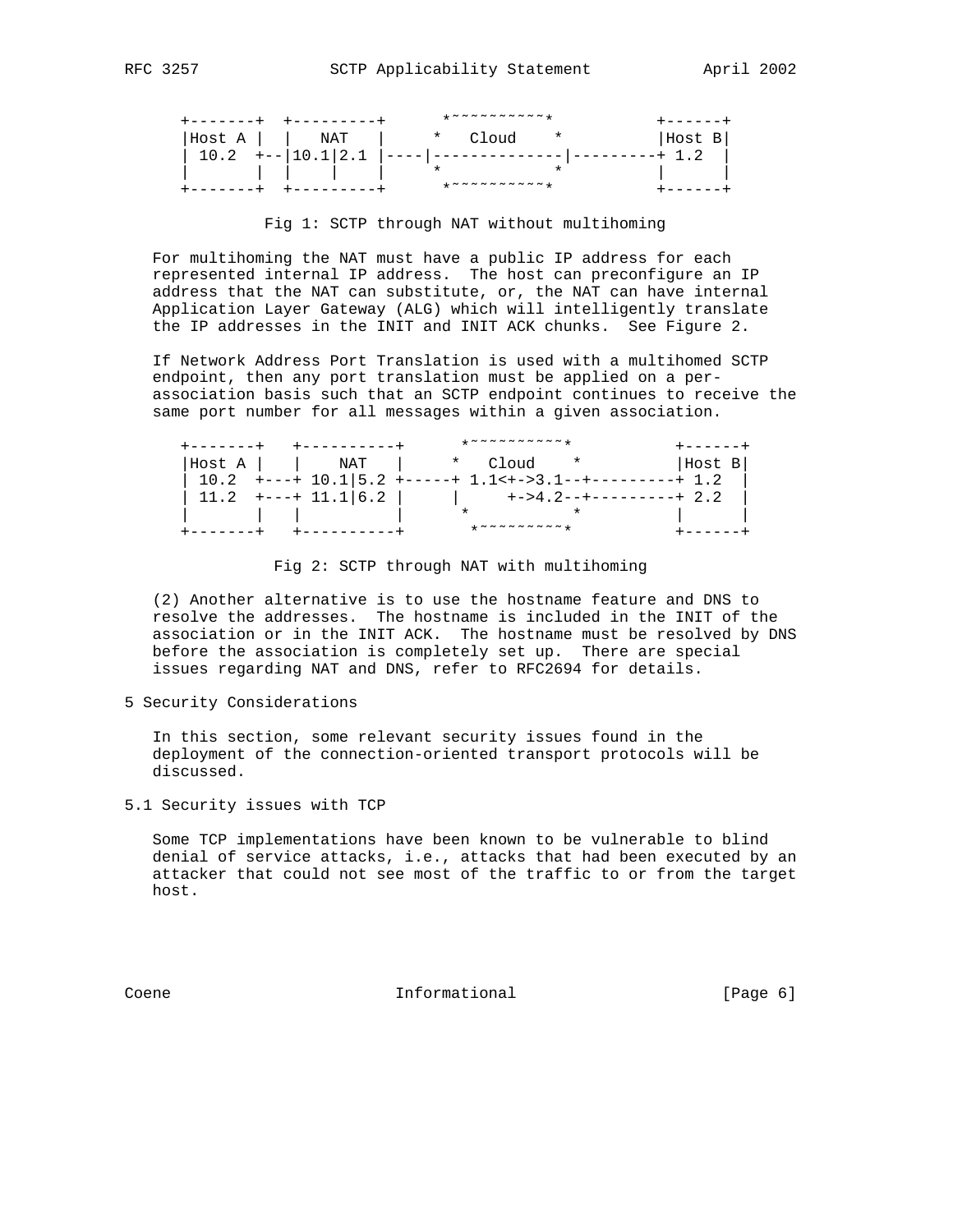|        |                   | <b>TUNNUNUNUNT</b> |        |
|--------|-------------------|--------------------|--------|
| Host A | NAT               | * Cloud<br>$\star$ | Host B |
|        | $+-$   10.1   2.1 |                    |        |
|        |                   | ᠊ѫ                 |        |
|        |                   | *~~~~~~~~~~        |        |

#### Fig 1: SCTP through NAT without multihoming

 For multihoming the NAT must have a public IP address for each represented internal IP address. The host can preconfigure an IP address that the NAT can substitute, or, the NAT can have internal Application Layer Gateway (ALG) which will intelligently translate the IP addresses in the INIT and INIT ACK chunks. See Figure 2.

 If Network Address Port Translation is used with a multihomed SCTP endpoint, then any port translation must be applied on a per association basis such that an SCTP endpoint continues to receive the same port number for all messages within a given association.

|        |                           | *~~~~~~~~~*                                   |         |                         |
|--------|---------------------------|-----------------------------------------------|---------|-------------------------|
| Host A | NAT                       | * Cloud                                       | $\star$ | Host B                  |
|        | $10.2$ +---+ $10.1$   5.2 | $+ - - - - + 1.1 < + - > 3.1 - - + -$         |         |                         |
|        | $11.2$ +---+ $11.1 6.2$   |                                               |         | +->4.2--+---------+ 2.2 |
|        |                           |                                               |         |                         |
|        |                           | $* \sim \sim \sim \sim \sim \sim \sim \sim *$ |         |                         |

Fig 2: SCTP through NAT with multihoming

 (2) Another alternative is to use the hostname feature and DNS to resolve the addresses. The hostname is included in the INIT of the association or in the INIT ACK. The hostname must be resolved by DNS before the association is completely set up. There are special issues regarding NAT and DNS, refer to RFC2694 for details.

5 Security Considerations

 In this section, some relevant security issues found in the deployment of the connection-oriented transport protocols will be discussed.

5.1 Security issues with TCP

 Some TCP implementations have been known to be vulnerable to blind denial of service attacks, i.e., attacks that had been executed by an attacker that could not see most of the traffic to or from the target host.

Coene **Informational Informational** [Page 6]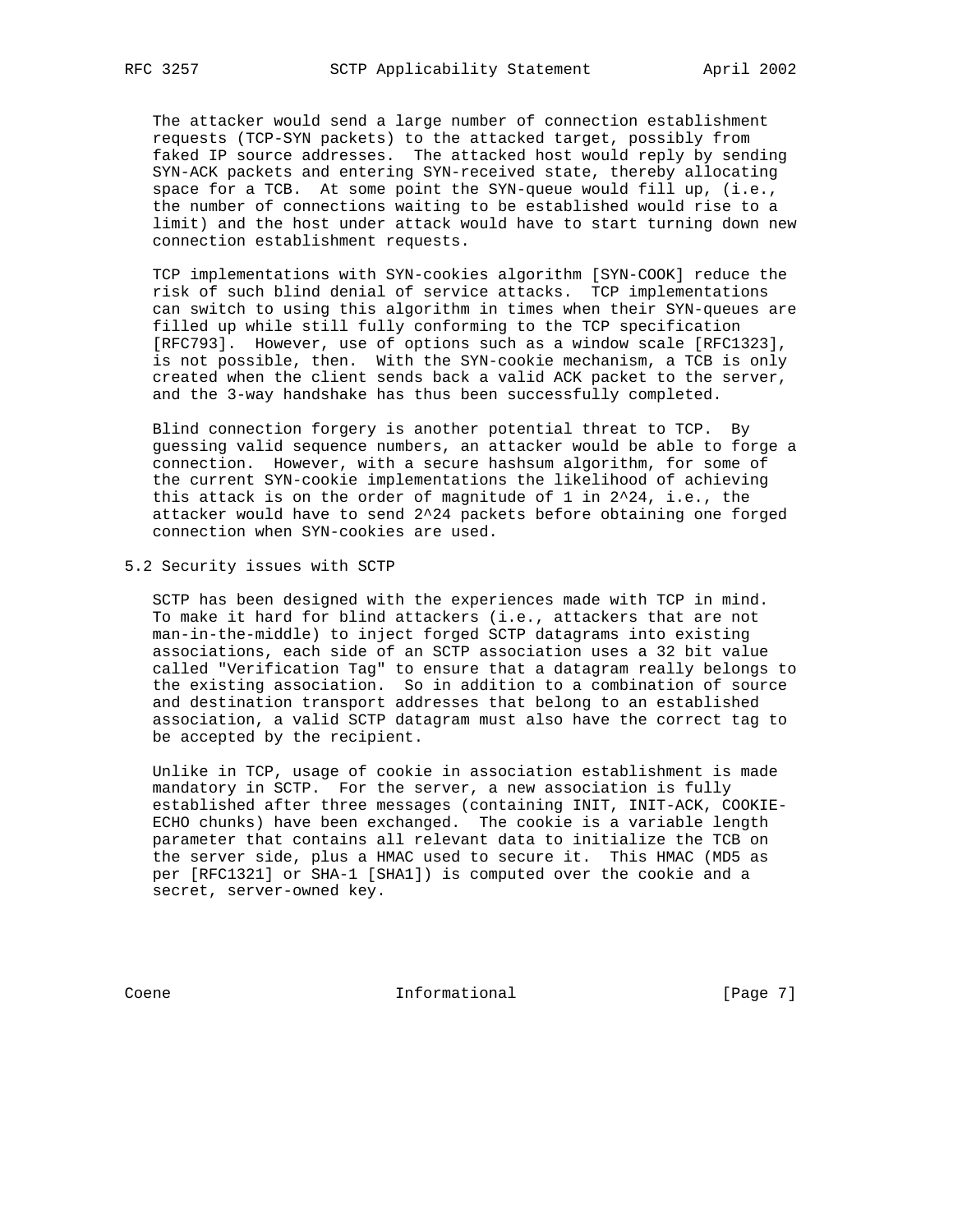The attacker would send a large number of connection establishment requests (TCP-SYN packets) to the attacked target, possibly from faked IP source addresses. The attacked host would reply by sending SYN-ACK packets and entering SYN-received state, thereby allocating space for a TCB. At some point the SYN-queue would fill up, (i.e., the number of connections waiting to be established would rise to a limit) and the host under attack would have to start turning down new connection establishment requests.

 TCP implementations with SYN-cookies algorithm [SYN-COOK] reduce the risk of such blind denial of service attacks. TCP implementations can switch to using this algorithm in times when their SYN-queues are filled up while still fully conforming to the TCP specification [RFC793]. However, use of options such as a window scale [RFC1323], is not possible, then. With the SYN-cookie mechanism, a TCB is only created when the client sends back a valid ACK packet to the server, and the 3-way handshake has thus been successfully completed.

 Blind connection forgery is another potential threat to TCP. By guessing valid sequence numbers, an attacker would be able to forge a connection. However, with a secure hashsum algorithm, for some of the current SYN-cookie implementations the likelihood of achieving this attack is on the order of magnitude of 1 in 2^24, i.e., the attacker would have to send 2^24 packets before obtaining one forged connection when SYN-cookies are used.

## 5.2 Security issues with SCTP

 SCTP has been designed with the experiences made with TCP in mind. To make it hard for blind attackers (i.e., attackers that are not man-in-the-middle) to inject forged SCTP datagrams into existing associations, each side of an SCTP association uses a 32 bit value called "Verification Tag" to ensure that a datagram really belongs to the existing association. So in addition to a combination of source and destination transport addresses that belong to an established association, a valid SCTP datagram must also have the correct tag to be accepted by the recipient.

 Unlike in TCP, usage of cookie in association establishment is made mandatory in SCTP. For the server, a new association is fully established after three messages (containing INIT, INIT-ACK, COOKIE- ECHO chunks) have been exchanged. The cookie is a variable length parameter that contains all relevant data to initialize the TCB on the server side, plus a HMAC used to secure it. This HMAC (MD5 as per [RFC1321] or SHA-1 [SHA1]) is computed over the cookie and a secret, server-owned key.

Coene **Informational Informational** [Page 7]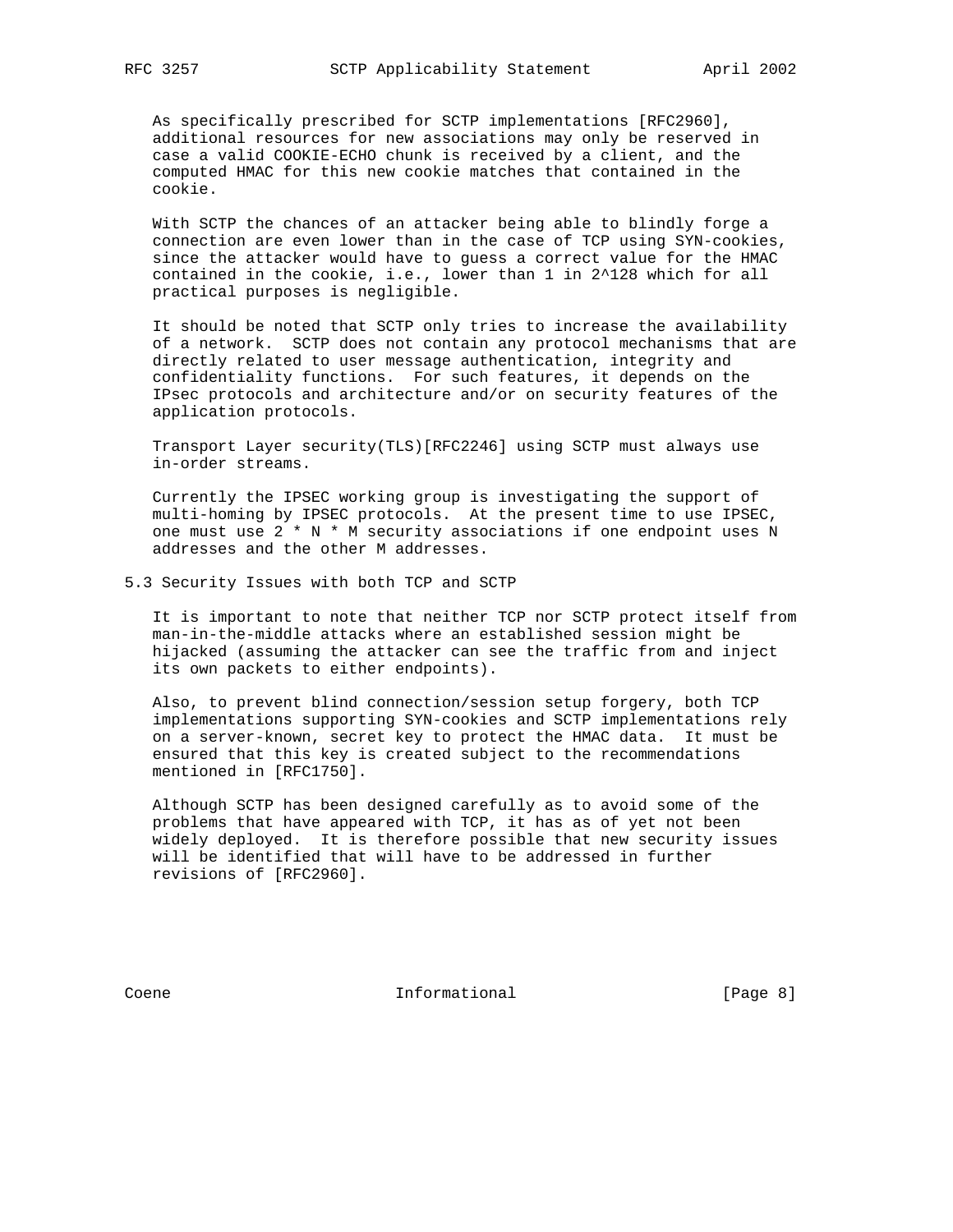As specifically prescribed for SCTP implementations [RFC2960], additional resources for new associations may only be reserved in case a valid COOKIE-ECHO chunk is received by a client, and the computed HMAC for this new cookie matches that contained in the cookie.

 With SCTP the chances of an attacker being able to blindly forge a connection are even lower than in the case of TCP using SYN-cookies, since the attacker would have to guess a correct value for the HMAC contained in the cookie, i.e., lower than 1 in 2^128 which for all practical purposes is negligible.

 It should be noted that SCTP only tries to increase the availability of a network. SCTP does not contain any protocol mechanisms that are directly related to user message authentication, integrity and confidentiality functions. For such features, it depends on the IPsec protocols and architecture and/or on security features of the application protocols.

 Transport Layer security(TLS)[RFC2246] using SCTP must always use in-order streams.

 Currently the IPSEC working group is investigating the support of multi-homing by IPSEC protocols. At the present time to use IPSEC, one must use  $2 * N * M$  security associations if one endpoint uses N addresses and the other M addresses.

5.3 Security Issues with both TCP and SCTP

 It is important to note that neither TCP nor SCTP protect itself from man-in-the-middle attacks where an established session might be hijacked (assuming the attacker can see the traffic from and inject its own packets to either endpoints).

 Also, to prevent blind connection/session setup forgery, both TCP implementations supporting SYN-cookies and SCTP implementations rely on a server-known, secret key to protect the HMAC data. It must be ensured that this key is created subject to the recommendations mentioned in [RFC1750].

 Although SCTP has been designed carefully as to avoid some of the problems that have appeared with TCP, it has as of yet not been widely deployed. It is therefore possible that new security issues will be identified that will have to be addressed in further revisions of [RFC2960].

Coene 111 Informational 1999 [Page 8]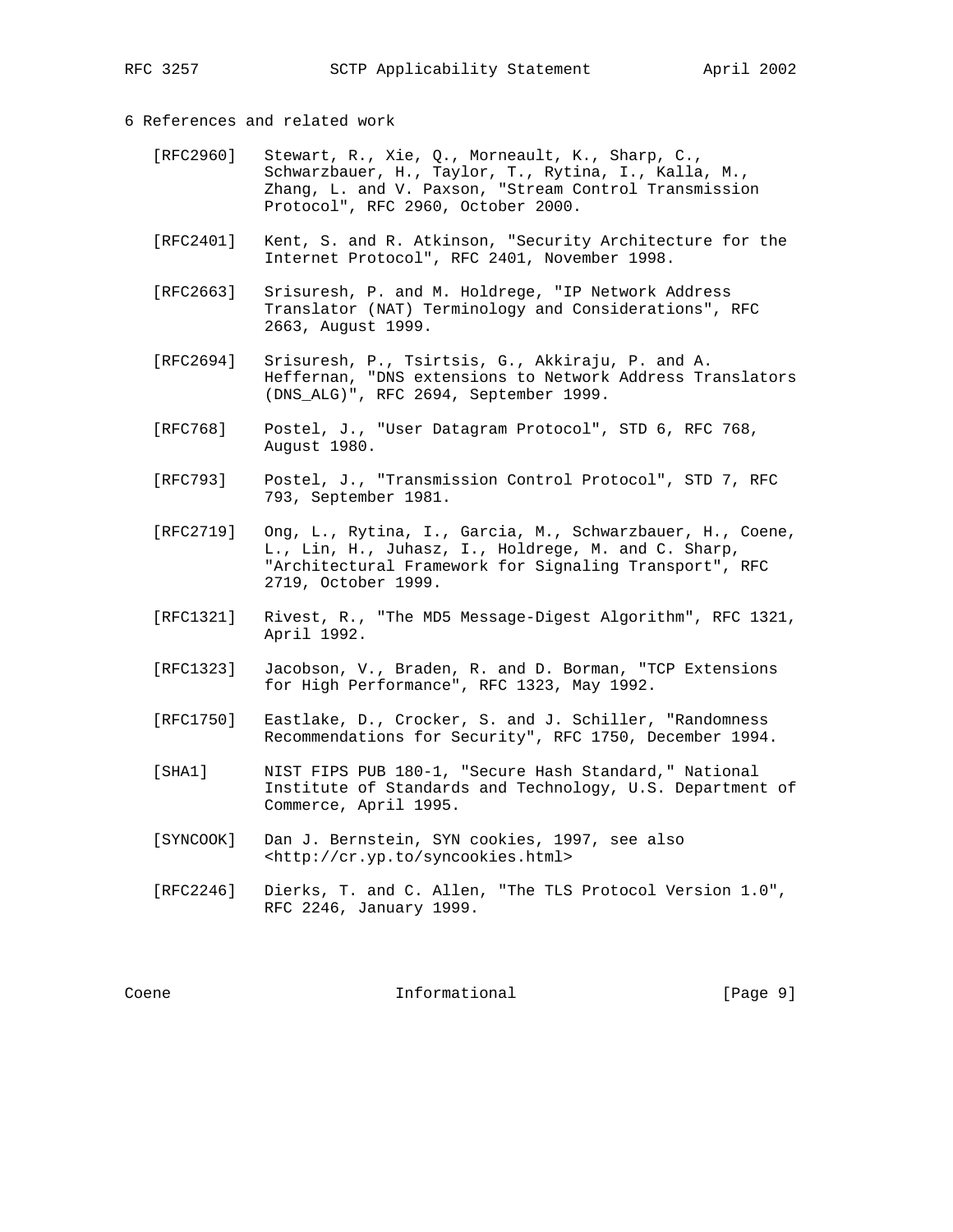# 6 References and related work

- [RFC2960] Stewart, R., Xie, Q., Morneault, K., Sharp, C., Schwarzbauer, H., Taylor, T., Rytina, I., Kalla, M., Zhang, L. and V. Paxson, "Stream Control Transmission Protocol", RFC 2960, October 2000.
- [RFC2401] Kent, S. and R. Atkinson, "Security Architecture for the Internet Protocol", RFC 2401, November 1998.
- [RFC2663] Srisuresh, P. and M. Holdrege, "IP Network Address Translator (NAT) Terminology and Considerations", RFC 2663, August 1999.
- [RFC2694] Srisuresh, P., Tsirtsis, G., Akkiraju, P. and A. Heffernan, "DNS extensions to Network Address Translators (DNS\_ALG)", RFC 2694, September 1999.
- [RFC768] Postel, J., "User Datagram Protocol", STD 6, RFC 768, August 1980.
- [RFC793] Postel, J., "Transmission Control Protocol", STD 7, RFC 793, September 1981.
- [RFC2719] Ong, L., Rytina, I., Garcia, M., Schwarzbauer, H., Coene, L., Lin, H., Juhasz, I., Holdrege, M. and C. Sharp, "Architectural Framework for Signaling Transport", RFC 2719, October 1999.
- [RFC1321] Rivest, R., "The MD5 Message-Digest Algorithm", RFC 1321, April 1992.
- [RFC1323] Jacobson, V., Braden, R. and D. Borman, "TCP Extensions for High Performance", RFC 1323, May 1992.
- [RFC1750] Eastlake, D., Crocker, S. and J. Schiller, "Randomness Recommendations for Security", RFC 1750, December 1994.
- [SHA1] NIST FIPS PUB 180-1, "Secure Hash Standard," National Institute of Standards and Technology, U.S. Department of Commerce, April 1995.
- [SYNCOOK] Dan J. Bernstein, SYN cookies, 1997, see also <http://cr.yp.to/syncookies.html>
- [RFC2246] Dierks, T. and C. Allen, "The TLS Protocol Version 1.0", RFC 2246, January 1999.

Coene Coene Informational [Page 9]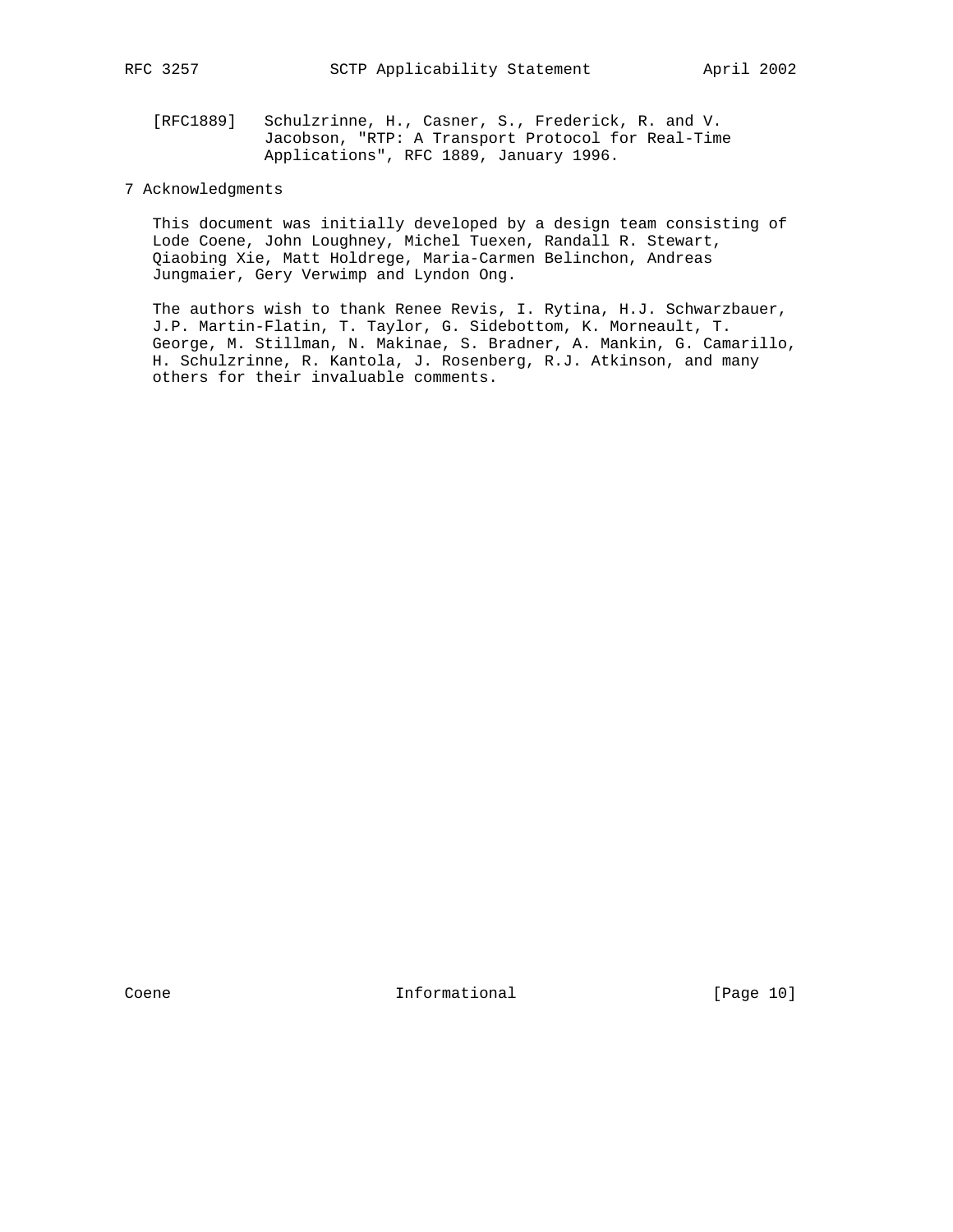[RFC1889] Schulzrinne, H., Casner, S., Frederick, R. and V. Jacobson, "RTP: A Transport Protocol for Real-Time Applications", RFC 1889, January 1996.

# 7 Acknowledgments

 This document was initially developed by a design team consisting of Lode Coene, John Loughney, Michel Tuexen, Randall R. Stewart, Qiaobing Xie, Matt Holdrege, Maria-Carmen Belinchon, Andreas Jungmaier, Gery Verwimp and Lyndon Ong.

 The authors wish to thank Renee Revis, I. Rytina, H.J. Schwarzbauer, J.P. Martin-Flatin, T. Taylor, G. Sidebottom, K. Morneault, T. George, M. Stillman, N. Makinae, S. Bradner, A. Mankin, G. Camarillo, H. Schulzrinne, R. Kantola, J. Rosenberg, R.J. Atkinson, and many others for their invaluable comments.

Coene 10 Informational [Page 10]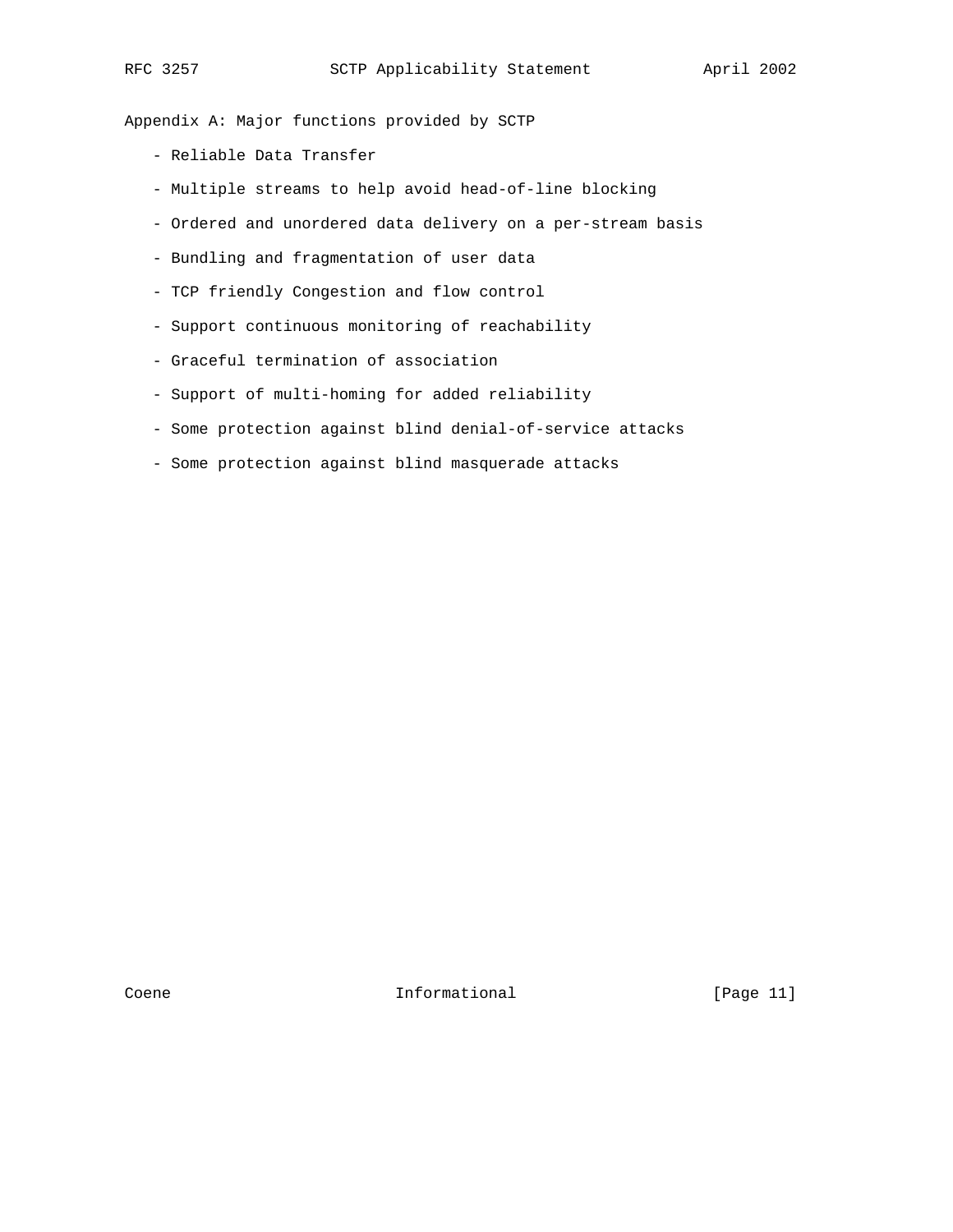Appendix A: Major functions provided by SCTP

- Reliable Data Transfer
- Multiple streams to help avoid head-of-line blocking
- Ordered and unordered data delivery on a per-stream basis
- Bundling and fragmentation of user data
- TCP friendly Congestion and flow control
- Support continuous monitoring of reachability
- Graceful termination of association
- Support of multi-homing for added reliability
- Some protection against blind denial-of-service attacks
- Some protection against blind masquerade attacks

Coene 11 Informational [Page 11]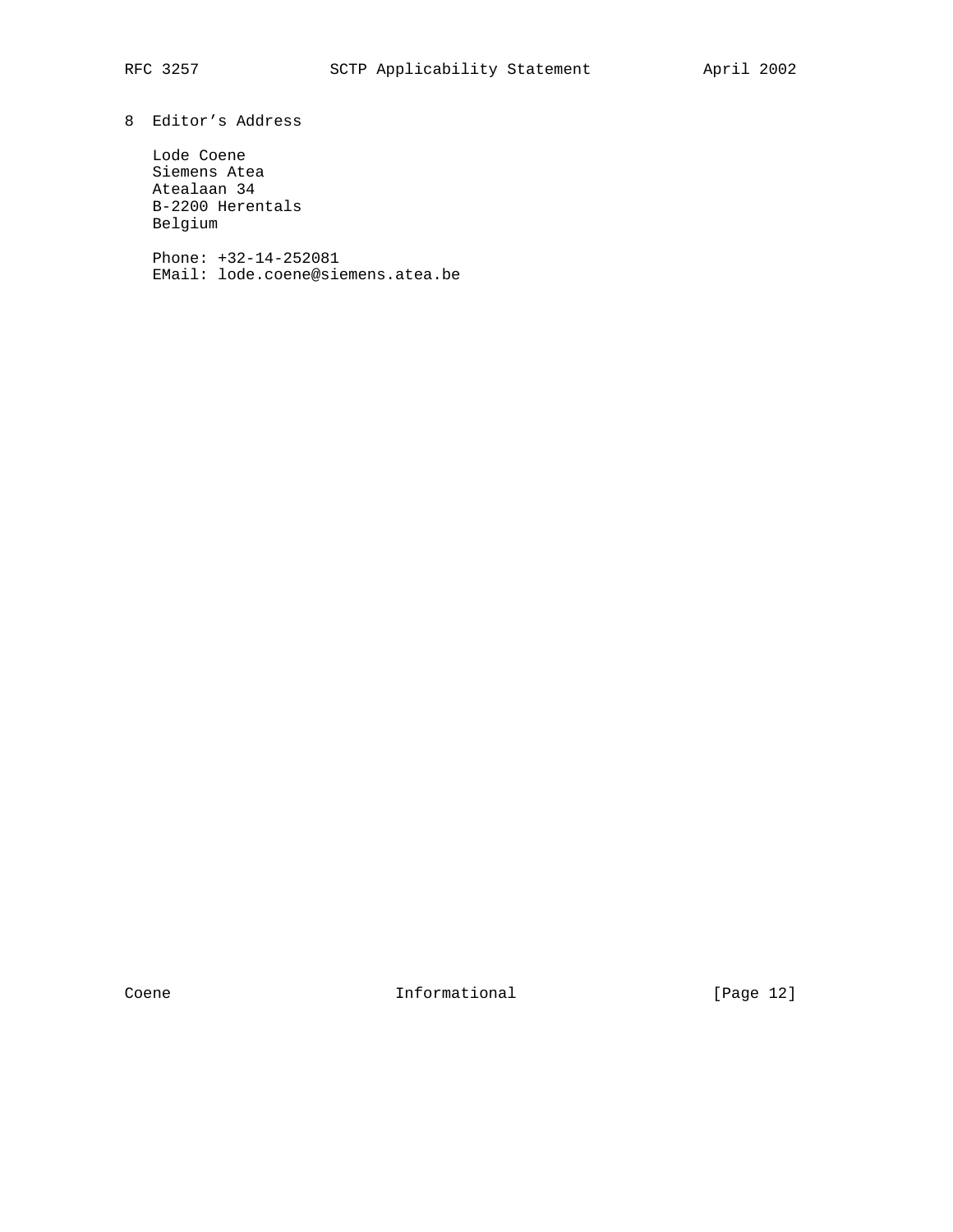# 8 Editor's Address

 Lode Coene Siemens Atea Atealaan 34 B-2200 Herentals Belgium

 Phone: +32-14-252081 EMail: lode.coene@siemens.atea.be

Coene 12]